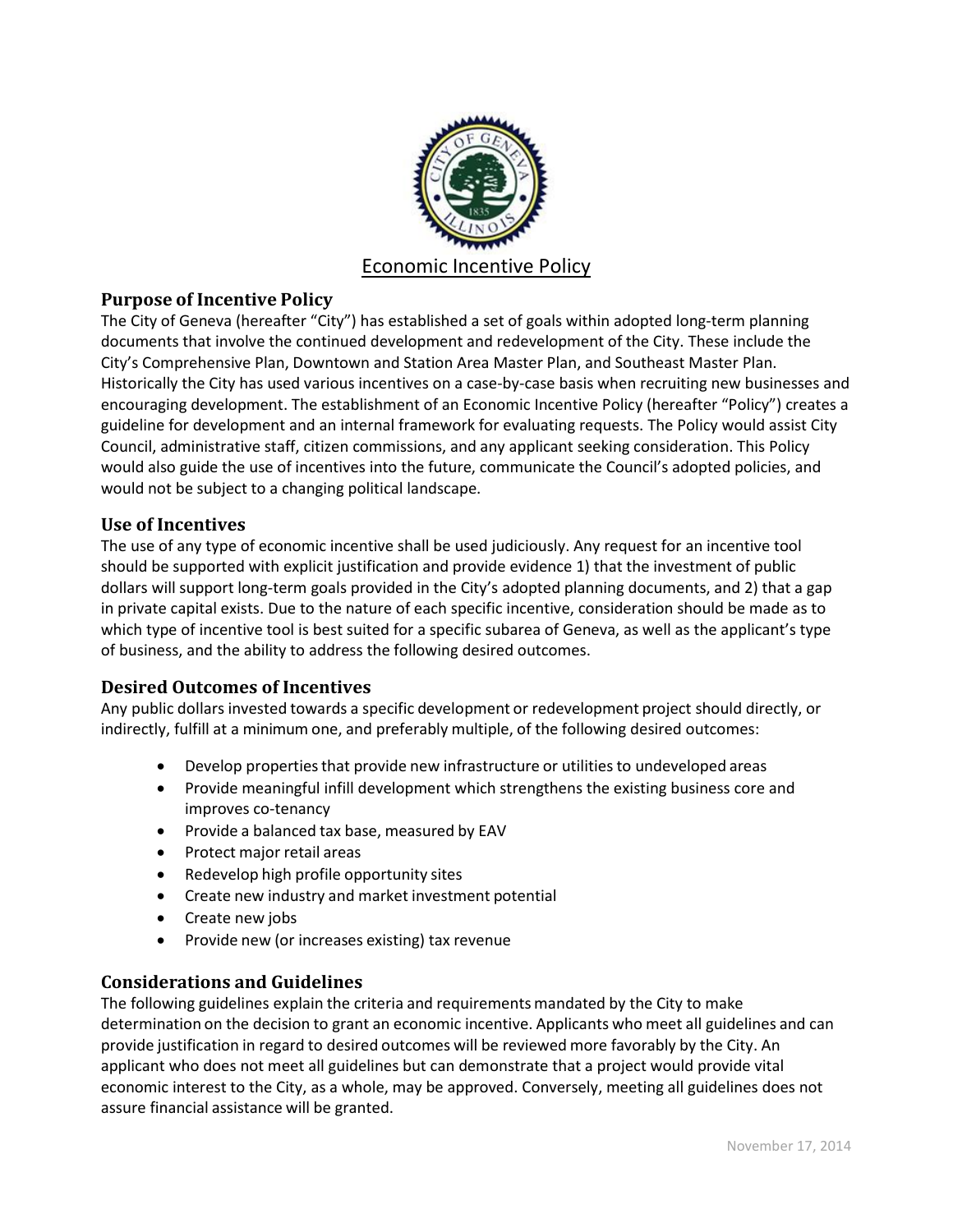

# **Purpose of Incentive Policy**

The City of Geneva (hereafter "City") has established a set of goals within adopted long‐term planning documents that involve the continued development and redevelopment of the City. These include the City's Comprehensive Plan, Downtown and Station Area Master Plan, and Southeast Master Plan. Historically the City has used various incentives on a case-by-case basis when recruiting new businesses and encouraging development. The establishment of an Economic Incentive Policy (hereafter "Policy") creates a guideline for development and an internal framework for evaluating requests. The Policy would assist City Council, administrative staff, citizen commissions, and any applicant seeking consideration. This Policy would also guide the use of incentives into the future, communicate the Council's adopted policies, and would not be subject to a changing political landscape.

# **Use of Incentives**

The use of any type of economic incentive shall be used judiciously. Any request for an incentive tool should be supported with explicit justification and provide evidence 1) that the investment of public dollars will support long‐term goals provided in the City's adopted planning documents, and 2) that a gap in private capital exists. Due to the nature of each specific incentive, consideration should be made as to which type of incentive tool is best suited for a specific subarea of Geneva, as well as the applicant's type of business, and the ability to address the following desired outcomes.

# **Desired Outcomes of Incentives**

Any public dollars invested towards a specific development or redevelopment project should directly, or indirectly, fulfill at a minimum one, and preferably multiple, of the following desired outcomes:

- Develop properties that provide new infrastructure or utilities to undeveloped areas
- Provide meaningful infill development which strengthens the existing business core and improves co-tenancy
- Provide a balanced tax base, measured by EAV
- Protect major retail areas
- Redevelop high profile opportunity sites
- Create new industry and market investment potential
- Create new jobs
- Provide new (or increases existing) tax revenue

# **Considerations and Guidelines**

The following guidelines explain the criteria and requirements mandated by the City to make determination on the decision to grant an economic incentive. Applicants who meet all guidelines and can provide justification in regard to desired outcomes will be reviewed more favorably by the City. An applicant who does not meet all guidelines but can demonstrate that a project would provide vital economic interest to the City, as a whole, may be approved. Conversely, meeting all guidelines does not assure financial assistance will be granted.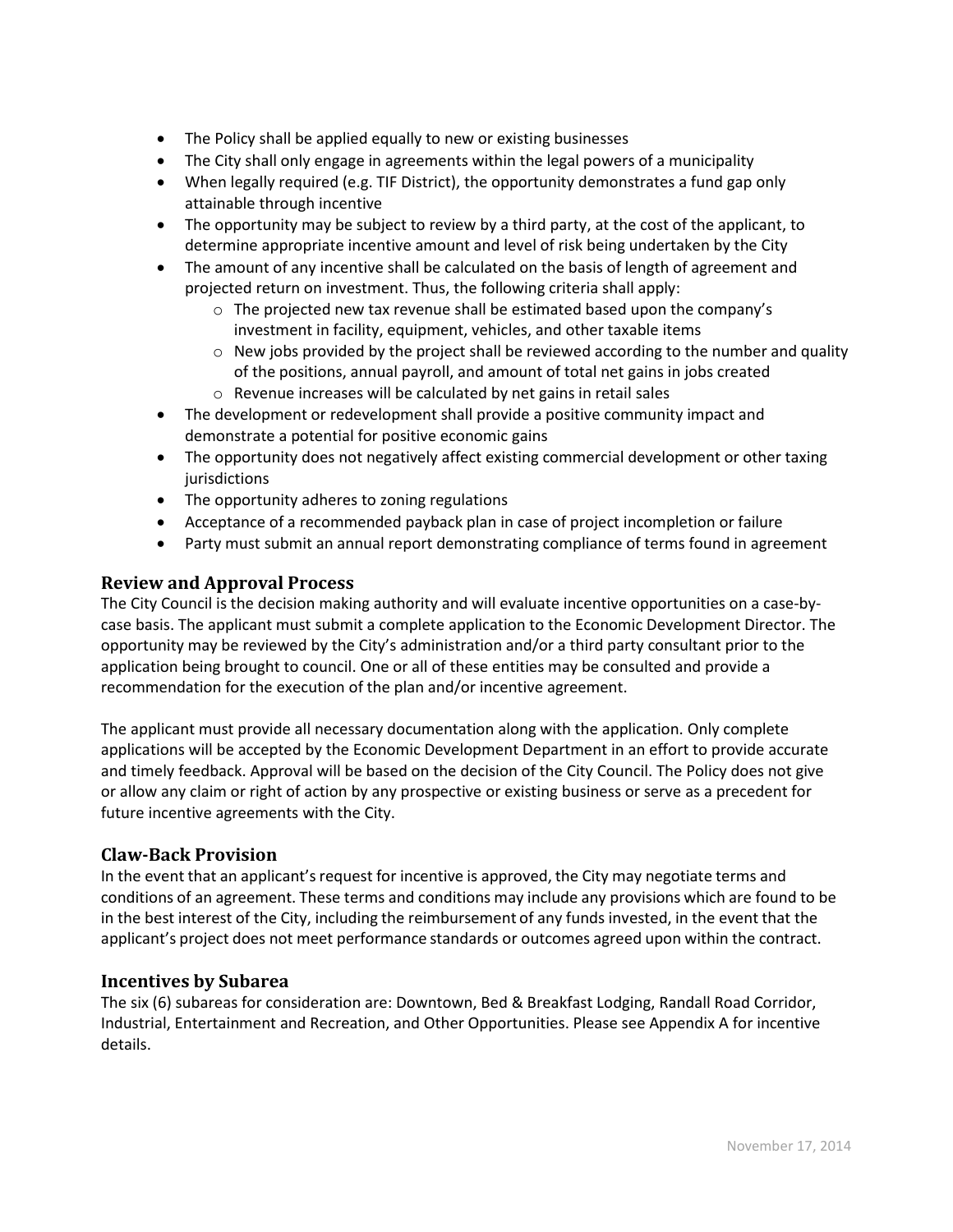- The Policy shall be applied equally to new or existing businesses
- The City shall only engage in agreements within the legal powers of a municipality
- When legally required (e.g. TIF District), the opportunity demonstrates a fund gap only attainable through incentive
- The opportunity may be subject to review by a third party, at the cost of the applicant, to determine appropriate incentive amount and level of risk being undertaken by the City
- The amount of any incentive shall be calculated on the basis of length of agreement and projected return on investment. Thus, the following criteria shall apply:
	- $\circ$  The projected new tax revenue shall be estimated based upon the company's investment in facility, equipment, vehicles, and other taxable items
	- $\circ$  New jobs provided by the project shall be reviewed according to the number and quality of the positions, annual payroll, and amount of total net gains in jobs created
	- o Revenue increases will be calculated by net gains in retail sales
- The development or redevelopment shall provide a positive community impact and demonstrate a potential for positive economic gains
- The opportunity does not negatively affect existing commercial development or other taxing jurisdictions
- The opportunity adheres to zoning regulations
- Acceptance of a recommended payback plan in case of project incompletion or failure
- Party must submit an annual report demonstrating compliance of terms found in agreement

# **Review and Approval Process**

The City Council is the decision making authority and will evaluate incentive opportunities on a case‐by‐ case basis. The applicant must submit a complete application to the Economic Development Director. The opportunity may be reviewed by the City's administration and/or a third party consultant prior to the application being brought to council. One or all of these entities may be consulted and provide a recommendation for the execution of the plan and/or incentive agreement.

The applicant must provide all necessary documentation along with the application. Only complete applications will be accepted by the Economic Development Department in an effort to provide accurate and timely feedback. Approval will be based on the decision of the City Council. The Policy does not give or allow any claim or right of action by any prospective or existing business or serve as a precedent for future incentive agreements with the City.

# **Claw‐Back Provision**

In the event that an applicant's request for incentive is approved, the City may negotiate terms and conditions of an agreement. These terms and conditions may include any provisions which are found to be in the best interest of the City, including the reimbursement of any funds invested, in the event that the applicant's project does not meet performance standards or outcomes agreed upon within the contract.

## **Incentives by Subarea**

The six (6) subareas for consideration are: Downtown, Bed & Breakfast Lodging, Randall Road Corridor, Industrial, Entertainment and Recreation, and Other Opportunities. Please see Appendix A for incentive details.